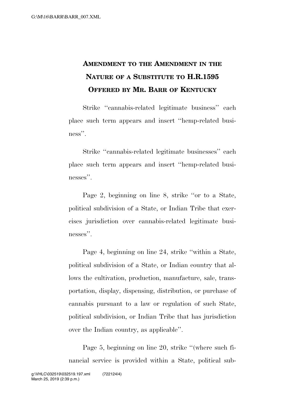## **AMENDMENT TO THE AMENDMENT IN THE NATURE OF A SUBSTITUTE TO H.R.1595 OFFERED BY MR. BARR OF KENTUCKY**

Strike ''cannabis-related legitimate business'' each place such term appears and insert ''hemp-related business''.

Strike ''cannabis-related legitimate businesses'' each place such term appears and insert ''hemp-related businesses".

Page 2, beginning on line 8, strike ''or to a State, political subdivision of a State, or Indian Tribe that exercises jurisdiction over cannabis-related legitimate businesses''.

Page 4, beginning on line 24, strike ''within a State, political subdivision of a State, or Indian country that allows the cultivation, production, manufacture, sale, transportation, display, dispensing, distribution, or purchase of cannabis pursuant to a law or regulation of such State, political subdivision, or Indian Tribe that has jurisdiction over the Indian country, as applicable''.

Page 5, beginning on line 20, strike ''(where such financial service is provided within a State, political sub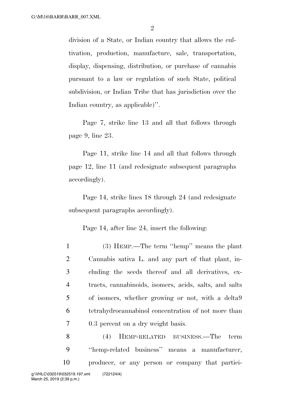division of a State, or Indian country that allows the cultivation, production, manufacture, sale, transportation, display, dispensing, distribution, or purchase of cannabis pursuant to a law or regulation of such State, political subdivision, or Indian Tribe that has jurisdiction over the Indian country, as applicable)''.

Page 7, strike line 13 and all that follows through page 9, line 23.

Page 11, strike line 14 and all that follows through page 12, line 11 (and redesignate subsequent paragraphs accordingly).

Page 14, strike lines 18 through 24 (and redesignate subsequent paragraphs accordingly).

Page 14, after line 24, insert the following:

 (3) HEMP.—The term ''hemp'' means the plant Cannabis sativa L. and any part of that plant, in- cluding the seeds thereof and all derivatives, ex- tracts, cannabinoids, isomers, acids, salts, and salts of isomers, whether growing or not, with a delta9 tetrahydrocannabinol concentration of not more than 0.3 percent on a dry weight basis.

8 (4) HEMP-RELATED BUSINESS.—The term 9 ''hemp-related business'' means a manufacturer, 10 producer, or any person or company that partici-March 25, 2019 (2:39 p.m.) g:\VHLC\032519\032519.197.xml (722124|4)